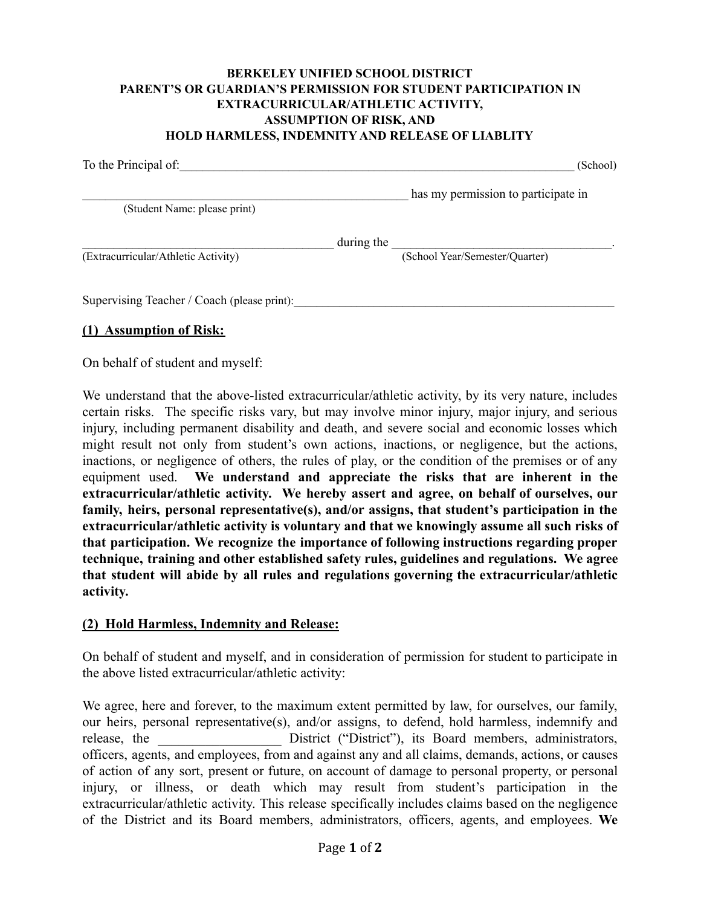## **BERKELEY UNIFIED SCHOOL DISTRICT PARENT'S OR GUARDIAN'S PERMISSION FOR STUDENT PARTICIPATION IN EXTRACURRICULAR/ATHLETIC ACTIVITY, ASSUMPTION OF RISK, AND HOLD HARMLESS, INDEMNITY AND RELEASE OF LIABLITY**

| To the Principal of:                        |            | (School)                            |
|---------------------------------------------|------------|-------------------------------------|
|                                             |            | has my permission to participate in |
| (Student Name: please print)                |            |                                     |
|                                             | during the |                                     |
| (Extracurricular/Athletic Activity)         |            | (School Year/Semester/Quarter)      |
| Supervising Teacher / Coach (please print): |            |                                     |

## **(1) Assumption of Risk:**

On behalf of student and myself:

We understand that the above-listed extracurricular/athletic activity, by its very nature, includes certain risks. The specific risks vary, but may involve minor injury, major injury, and serious injury, including permanent disability and death, and severe social and economic losses which might result not only from student's own actions, inactions, or negligence, but the actions, inactions, or negligence of others, the rules of play, or the condition of the premises or of any equipment used. **We understand and appreciate the risks that are inherent in the extracurricular/athletic activity. We hereby assert and agree, on behalf of ourselves, our family, heirs, personal representative(s), and/or assigns, that student's participation in the extracurricular/athletic activity is voluntary and that we knowingly assume all such risks of that participation. We recognize the importance of following instructions regarding proper technique, training and other established safety rules, guidelines and regulations. We agree that student will abide by all rules and regulations governing the extracurricular/athletic activity.**

## **(2) Hold Harmless, Indemnity and Release:**

On behalf of student and myself, and in consideration of permission for student to participate in the above listed extracurricular/athletic activity:

We agree, here and forever, to the maximum extent permitted by law, for ourselves, our family, our heirs, personal representative(s), and/or assigns, to defend, hold harmless, indemnify and release, the \_\_\_\_\_\_\_\_\_\_\_\_\_\_\_\_\_\_\_ District ("District"), its Board members, administrators, officers, agents, and employees, from and against any and all claims, demands, actions, or causes of action of any sort, present or future, on account of damage to personal property, or personal injury, or illness, or death which may result from student's participation in the extracurricular/athletic activity. This release specifically includes claims based on the negligence of the District and its Board members, administrators, officers, agents, and employees. **We**